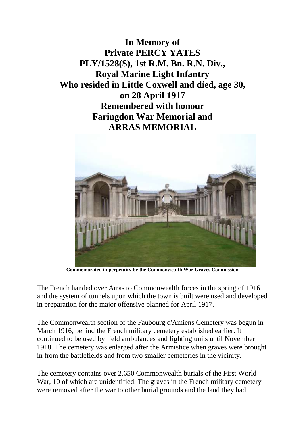



**Commemorated in perpetuity by the Commonwealth War Graves Commission**

The French handed over Arras to Commonwealth forces in the spring of 1916 and the system of tunnels upon which the town is built were used and developed in preparation for the major offensive planned for April 1917.

The Commonwealth section of the Faubourg d'Amiens Cemetery was begun in March 1916, behind the French military cemetery established earlier. It continued to be used by field ambulances and fighting units until November 1918. The cemetery was enlarged after the Armistice when graves were brought in from the battlefields and from two smaller cemeteries in the vicinity.

The cemetery contains over 2,650 Commonwealth burials of the First World War, 10 of which are unidentified. The graves in the French military cemetery were removed after the war to other burial grounds and the land they had